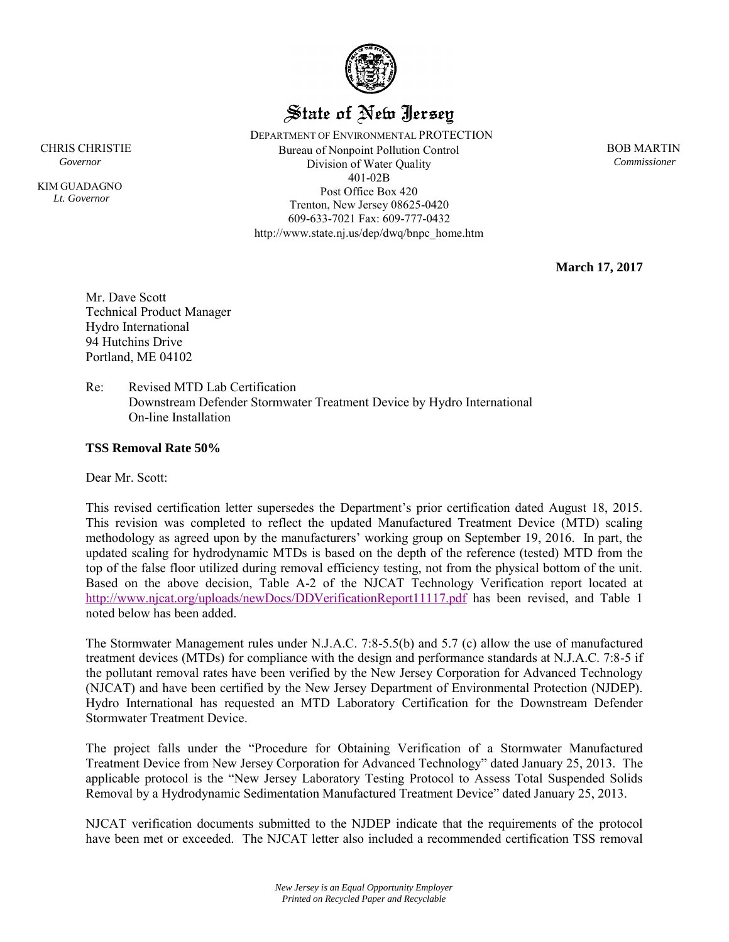

### State of New Jersey

 DEPARTMENT OF ENVIRONMENTAL PROTECTION CHRIS CHRISTIE BOB MARTIN  *Governor Commissioner*  Division of Water Quality 401-02B Post Office Box 420 Trenton, New Jersey 08625-0420 609-633-7021 Fax: 609-777-0432 http://www.state.nj.us/dep/dwq/bnpc\_home.htm

**March 17, 2017**

Mr. Dave Scott Technical Product Manager Hydro International 94 Hutchins Drive Portland, ME 04102

Re: Revised MTD Lab Certification Downstream Defender Stormwater Treatment Device by Hydro International On-line Installation

#### **TSS Removal Rate 50%**

Dear Mr. Scott:

This revised certification letter supersedes the Department's prior certification dated August 18, 2015. This revision was completed to reflect the updated Manufactured Treatment Device (MTD) scaling methodology as agreed upon by the manufacturers' working group on September 19, 2016. In part, the updated scaling for hydrodynamic MTDs is based on the depth of the reference (tested) MTD from the top of the false floor utilized during removal efficiency testing, not from the physical bottom of the unit. Based on the above decision, Table A-2 of the NJCAT Technology Verification report located at <http://www.njcat.org/uploads/newDocs/DDVerificationReport11117.pdf> has been revised, and Table 1 noted below has been added.

The Stormwater Management rules under N.J.A.C. 7:8-5.5(b) and 5.7 (c) allow the use of manufactured treatment devices (MTDs) for compliance with the design and performance standards at N.J.A.C. 7:8-5 if the pollutant removal rates have been verified by the New Jersey Corporation for Advanced Technology (NJCAT) and have been certified by the New Jersey Department of Environmental Protection (NJDEP). Hydro International has requested an MTD Laboratory Certification for the Downstream Defender Stormwater Treatment Device.

The project falls under the "Procedure for Obtaining Verification of a Stormwater Manufactured Treatment Device from New Jersey Corporation for Advanced Technology" dated January 25, 2013. The applicable protocol is the "New Jersey Laboratory Testing Protocol to Assess Total Suspended Solids Removal by a Hydrodynamic Sedimentation Manufactured Treatment Device" dated January 25, 2013.

NJCAT verification documents submitted to the NJDEP indicate that the requirements of the protocol have been met or exceeded. The NJCAT letter also included a recommended certification TSS removal

KIM GUADAGNO *Lt. Governor*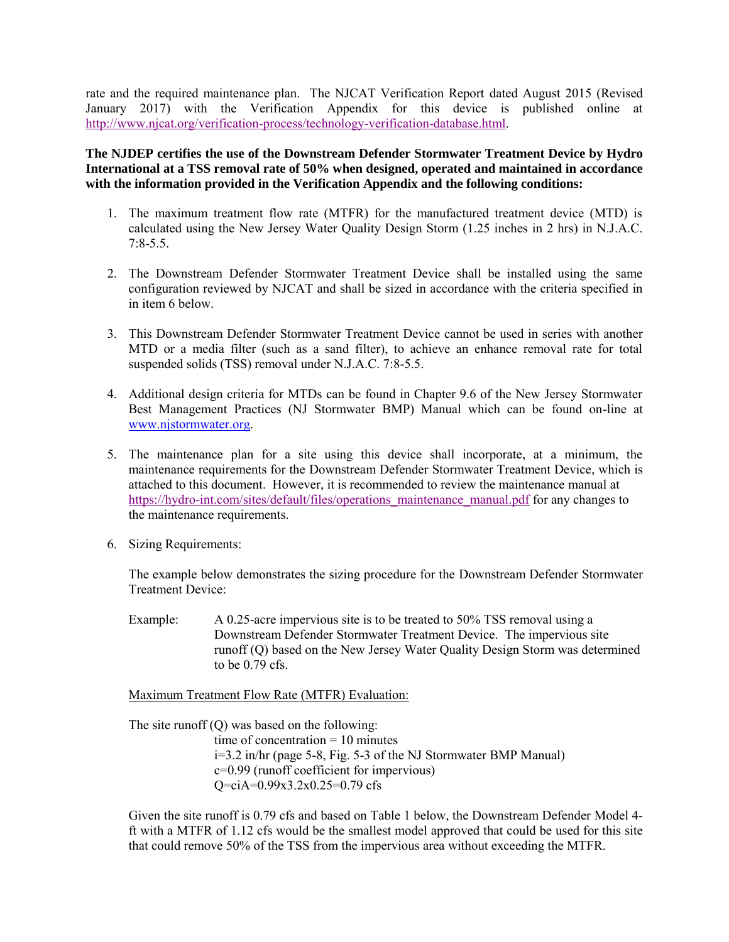rate and the required maintenance plan. The NJCAT Verification Report dated August 2015 (Revised January 2017) with the Verification Appendix for this device is published online at [http://www.njcat.org/verification-process/technology-verification-database.html.](http://www.njcat.org/verification-process/technology-verification-database.html)

**The NJDEP certifies the use of the Downstream Defender Stormwater Treatment Device by Hydro International at a TSS removal rate of 50% when designed, operated and maintained in accordance with the information provided in the Verification Appendix and the following conditions:**

- 1. The maximum treatment flow rate (MTFR) for the manufactured treatment device (MTD) is calculated using the New Jersey Water Quality Design Storm (1.25 inches in 2 hrs) in N.J.A.C. 7:8-5.5.
- 2. The Downstream Defender Stormwater Treatment Device shall be installed using the same configuration reviewed by NJCAT and shall be sized in accordance with the criteria specified in in item 6 below.
- 3. This Downstream Defender Stormwater Treatment Device cannot be used in series with another MTD or a media filter (such as a sand filter), to achieve an enhance removal rate for total suspended solids (TSS) removal under N.J.A.C. 7:8-5.5.
- 4. Additional design criteria for MTDs can be found in Chapter 9.6 of the New Jersey Stormwater Best Management Practices (NJ Stormwater BMP) Manual which can be found on-line at [www.njstormwater.org.](http://www.njstormwater.org/)
- 5. The maintenance plan for a site using this device shall incorporate, at a minimum, the maintenance requirements for the Downstream Defender Stormwater Treatment Device, which is attached to this document. However, it is recommended to review the maintenance manual at [https://hydro-int.com/sites/default/files/operations\\_maintenance\\_manual.pdf](https://hydro-int.com/sites/default/files/operations_maintenance_manual.pdf) for any changes to the maintenance requirements.
- 6. Sizing Requirements:

The example below demonstrates the sizing procedure for the Downstream Defender Stormwater Treatment Device:

Example: A 0.25-acre impervious site is to be treated to 50% TSS removal using a Downstream Defender Stormwater Treatment Device. The impervious site runoff (Q) based on the New Jersey Water Quality Design Storm was determined to be 0.79 cfs.

Maximum Treatment Flow Rate (MTFR) Evaluation:

The site runoff (Q) was based on the following: time of concentration = 10 minutes i=3.2 in/hr (page 5-8, Fig. 5-3 of the NJ Stormwater BMP Manual) c=0.99 (runoff coefficient for impervious) Q=ciA=0.99x3.2x0.25=0.79 cfs

Given the site runoff is 0.79 cfs and based on Table 1 below, the Downstream Defender Model 4 ft with a MTFR of 1.12 cfs would be the smallest model approved that could be used for this site that could remove 50% of the TSS from the impervious area without exceeding the MTFR.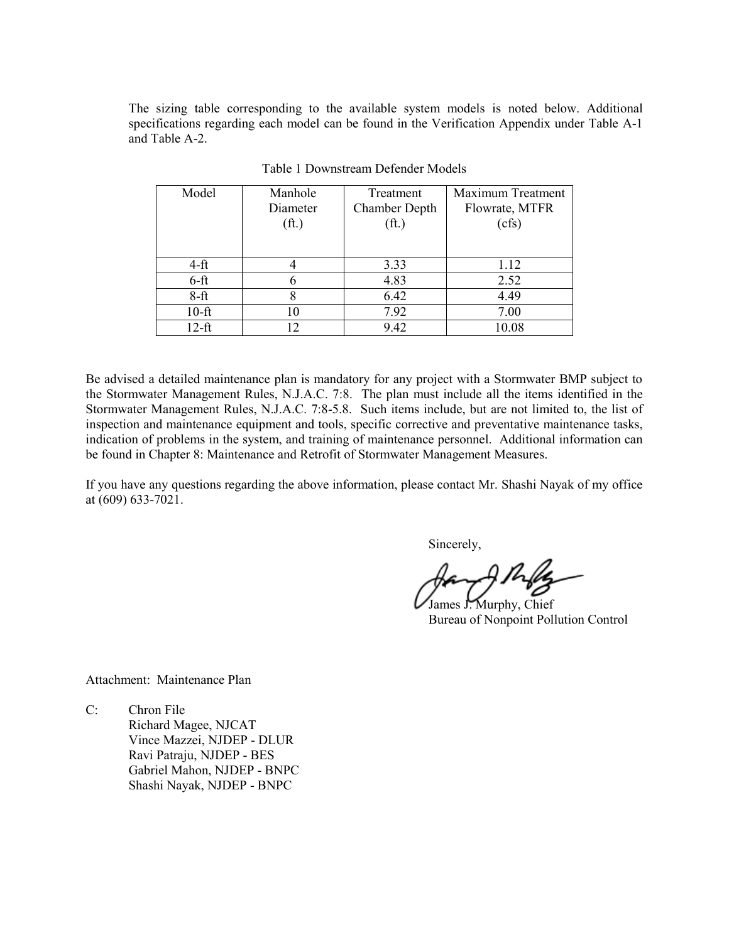The sizing table corresponding to the available system models is noted below. Additional specifications regarding each model can be found in the Verification Appendix under Table A-1 and Table A-2.

| Model    | Manhole           | Treatment         | <b>Maximum Treatment</b> |  |
|----------|-------------------|-------------------|--------------------------|--|
|          | Diameter          | Chamber Depth     | Flowrate, MTFR           |  |
|          | (f <sub>t</sub> ) | (f <sub>t</sub> ) | (cfs)                    |  |
|          |                   |                   |                          |  |
| 4-ft     |                   | 3.33              | 1.12                     |  |
| $6-ft$   | h                 | 4.83              | 2.52                     |  |
| $8-ft$   | 8                 | 6.42              | 4.49                     |  |
| $10$ -ft | 10                | 7.92              | 7.00                     |  |
| $12-ft$  |                   | 9.42              | 10.08                    |  |

Table 1 Downstream Defender Models

Be advised a detailed maintenance plan is mandatory for any project with a Stormwater BMP subject to the Stormwater Management Rules, N.J.A.C. 7:8. The plan must include all the items identified in the Stormwater Management Rules, N.J.A.C. 7:8-5.8. Such items include, but are not limited to, the list of inspection and maintenance equipment and tools, specific corrective and preventative maintenance tasks, indication of problems in the system, and training of maintenance personnel. Additional information can be found in Chapter 8: Maintenance and Retrofit of Stormwater Management Measures.

If you have any questions regarding the above information, please contact Mr. Shashi Nayak of my office at (609) 633-7021.

Sincerely,

James J. Murphy, Chief

Bureau of Nonpoint Pollution Control

Attachment: Maintenance Plan

C: Chron File Richard Magee, NJCAT Vince Mazzei, NJDEP - DLUR Ravi Patraju, NJDEP - BES Gabriel Mahon, NJDEP - BNPC Shashi Nayak, NJDEP - BNPC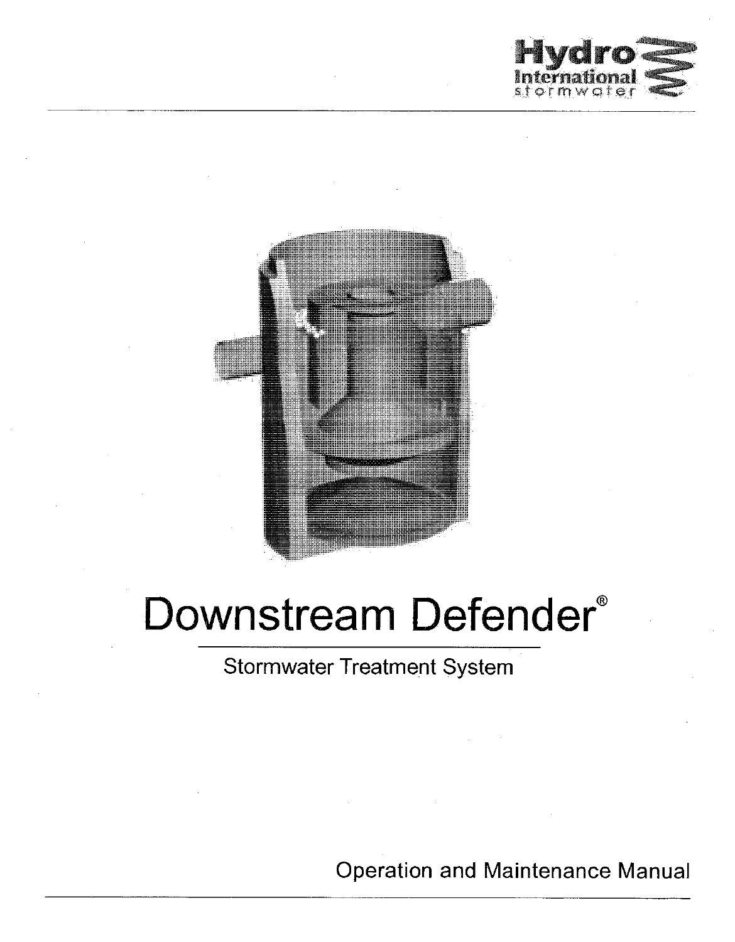



# Downstream Defender®

**Stormwater Treatment System** 

**Operation and Maintenance Manual**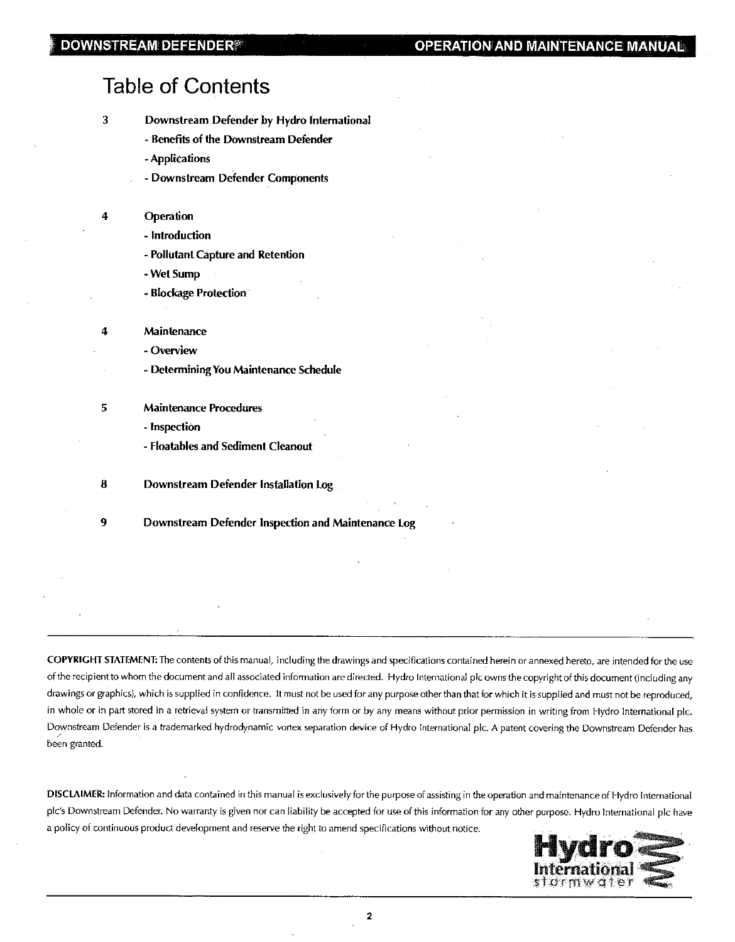$\overline{3}$ 

### **Table of Contents**

| 3 | Downstream Defender by Hydro International         |
|---|----------------------------------------------------|
|   | - Benefits of the Downstream Defender              |
|   | - Applications                                     |
|   | - Downstream Defender Components                   |
| 4 | Operation                                          |
|   | - Introduction                                     |
|   | - Pollutant Capture and Retention                  |
|   | - Wet Sump                                         |
|   | - Blockage Protection                              |
| 4 | Maintenance                                        |
|   | - Overview                                         |
|   | - Determining You Maintenance Schedule             |
| 5 | <b>Maintenance Procedures</b>                      |
|   | - Inspection                                       |
|   | - Floatables and Sediment Cleanout                 |
| 8 | Downstream Defender Installation Log               |
| 9 | Downstream Defender Inspection and Maintenance Log |

COPYRIGHT STATEMENT: The contents of this manual, including the drawings and specifications contained herein or annexed hereto, are intended for the use of the recipient to whom the document and all associated information are directed. Hydro International plc owns the copyright of this document (including any drawings or graphics), which is supplied in confidence. It must not be used for any purpose other than that for which it is supplied and must not be reproduced, in whole or in part stored in a retrieval system or transmitted in any form or by any means without prior permission in writing from Hydro International plc. Downstream Defender is a trademarked hydrodynamic vortex separation device of Hydro International plc. A patent covering the Downstream Defender has been granted.

DISCLAIMER: Information and data contained in this manual is exclusively for the purpose of assisting in the operation and maintenance of Hydro International plc's Downstream Defender. No warranty is given nor can liability be accepted for use of this information for any other purpose. Hydro International plc have a policy of continuous product development and reserve the right to amend specifications without notice.

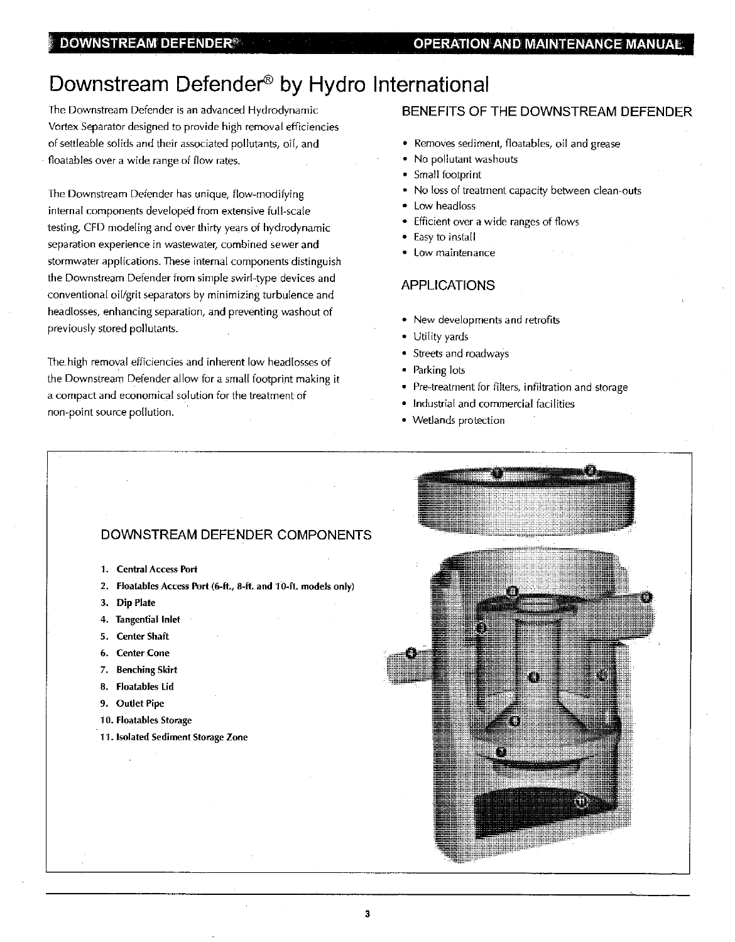#### **OPERATION AND MAINTENANCE MANUAL**

### Downstream Defender<sup>®</sup> by Hydro International

The Downstream Defender is an advanced Hydrodynamic Vortex Separator designed to provide high removal efficiencies of settleable solids and their associated pollutants, oil, and floatables over a wide range of flow rates.

The Downstream Defender has unique, flow-modifying internal components developed from extensive full-scale testing, CFD modeling and over thirty years of hydrodynamic separation experience in wastewater, combined sewer and stormwater applications. These internal components distinguish the Downstream Defender from simple swirl-type devices and conventional oil/grit separators by minimizing turbulence and headlosses, enhancing separation, and preventing washout of previously stored pollutants.

The high removal efficiencies and inherent low headlosses of the Downstream Defender allow for a small footprint making it a compact and economical solution for the treatment of non-point source pollution.

#### BENEFITS OF THE DOWNSTREAM DEFENDER

- Removes sediment, floatables, oil and grease
- No pollutant washouts
- Small footprint
- No loss of treatment capacity between clean-outs
- Low headloss
- Efficient over a wide ranges of flows
- Easy to install
- Low maintenance

#### **APPLICATIONS**

- New developments and retrofits
- Utility yards
- Streets and roadways
- Parking lots
- Pre-treatment for filters, infiltration and storage
- Industrial and commercial facilities
- Wetlands protection

#### DOWNSTREAM DEFENDER COMPONENTS

- 1. Central Access Port
- 2. Floatables Access Port (6-ft., 8-ft. and 10-ft. models only)
- **Dip Plate** 3.
- 4. Tangential Inlet
- 5. Center Shaft
- **Center Cone** 6.
- 7. Benching Skirt
- 8. Floatables Lid
- 9. Outlet Pipe
- 10. Floatables Storage
- 11. Isolated Sediment Storage Zone

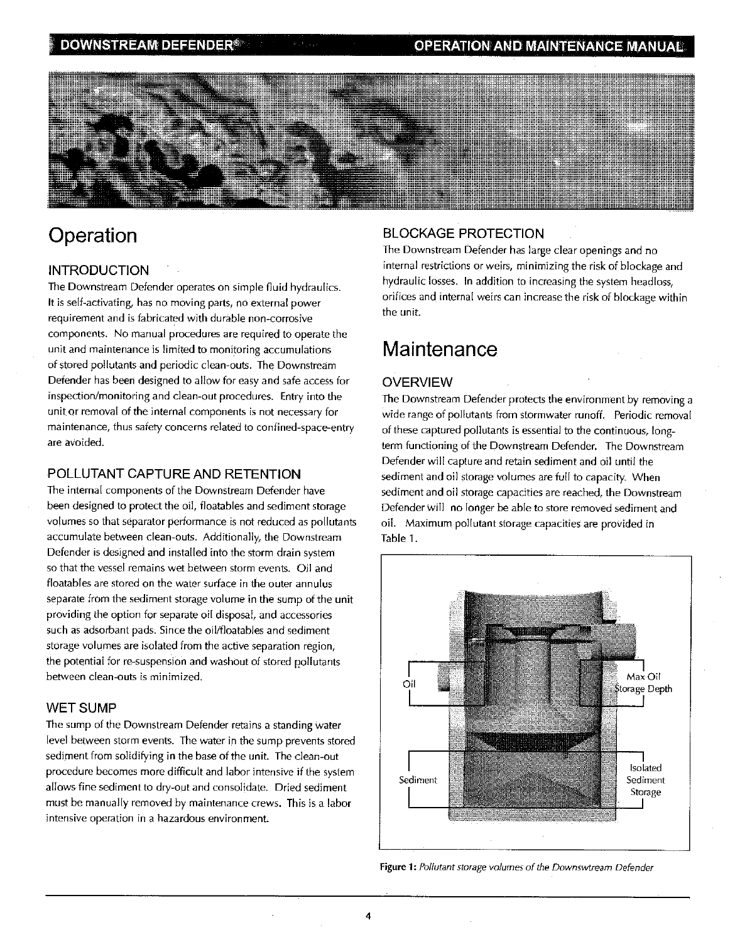

### Operation

#### **INTRODUCTION**

The Downstream Defender operates on simple fluid hydraulics. It is self-activating, has no moving parts, no external power requirement and is fabricated with durable non-corrosive components. No manual procedures are required to operate the unit and maintenance is limited to monitoring accumulations of stored pollutants and periodic clean-outs. The Downstream Defender has been designed to allow for easy and safe access for inspection/monitoring and clean-out procedures. Entry into the unit or removal of the internal components is not necessary for maintenance, thus safety concerns related to confined-space-entry are avoided.

#### POLLUTANT CAPTURE AND RETENTION

The internal components of the Downstream Defender have been designed to protect the oil, floatables and sediment storage volumes so that separator performance is not reduced as pollutants accumulate between clean-outs. Additionally, the Downstream Defender is designed and installed into the storm drain system so that the vessel remains wet between storm events. Oil and floatables are stored on the water surface in the outer annulus separate from the sediment storage volume in the sump of the unit providing the option for separate oil disposal, and accessories such as adsorbant pads. Since the oil/floatables and sediment storage volumes are isolated from the active separation region, the potential for re-suspension and washout of stored pollutants between clean-outs is minimized.

#### **WET SUMP**

The sump of the Downstream Defender retains a standing water level between storm events. The water in the sump prevents stored sediment from solidifying in the base of the unit. The clean-out procedure becomes more difficult and labor intensive if the system allows fine sediment to dry-out and consolidate. Dried sediment must be manually removed by maintenance crews. This is a labor intensive operation in a hazardous environment.

#### **BLOCKAGE PROTECTION**

The Downstream Defender has large clear openings and no internal restrictions or weirs, minimizing the risk of blockage and hydraulic losses. In addition to increasing the system headloss, orifices and internal weirs can increase the risk of blockage within the unit.

### Maintenance

#### **OVERVIEW**

The Downstream Defender protects the environment by removing a wide range of pollutants from stormwater runoff. Periodic removal of these captured pollutants is essential to the continuous, longterm functioning of the Downstream Defender. The Downstream Defender will capture and retain sediment and oil until the sediment and oil storage volumes are full to capacity. When sediment and oil storage capacities are reached, the Downstream Defender will no longer be able to store removed sediment and oil. Maximum pollutant storage capacities are provided in Table 1.



Figure 1: Pollutant storage volumes of the Downswtream Defender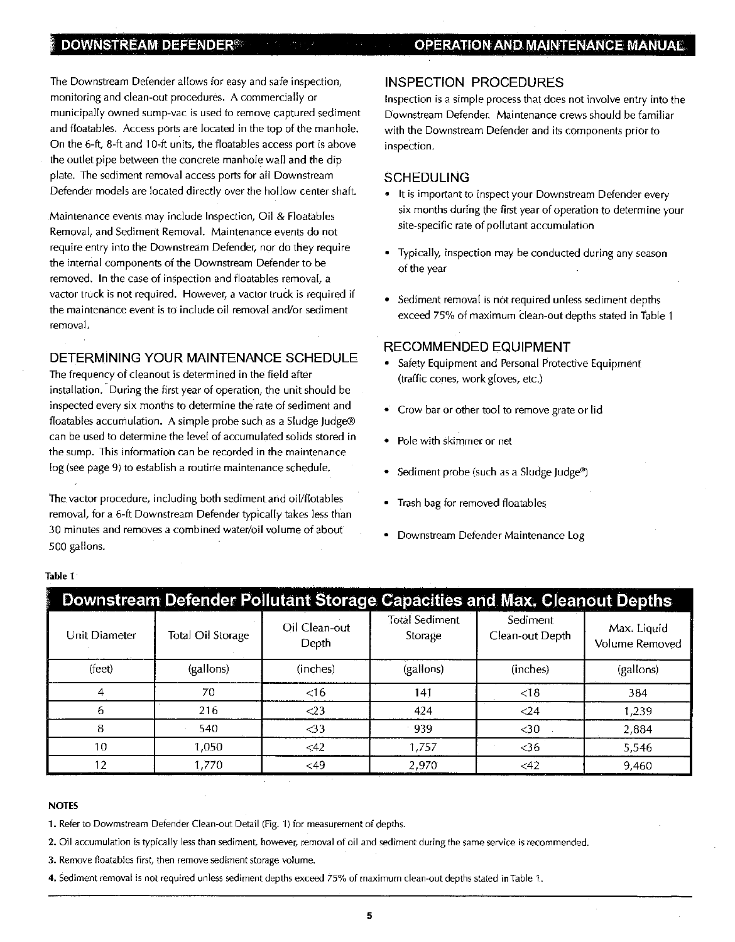The Downstream Defender allows for easy and safe inspection, monitoring and clean-out procedures. A commercially or municipally owned sump-vac is used to remove captured sediment and floatables. Access ports are located in the top of the manhole. On the 6-ft, 8-ft and 10-ft units, the floatables access port is above the outlet pipe between the concrete manhole wall and the dip plate. The sediment removal access ports for all Downstream Defender models are located directly over the hollow center shaft.

Maintenance events may include Inspection, Oil & Floatables Removal, and Sediment Removal. Maintenance events do not require entry into the Downstream Defender, nor do they require the internal components of the Downstream Defender to be removed. In the case of inspection and floatables removal, a vactor truck is not required. However, a vactor truck is required if the maintenance event is to include oil removal and/or sediment removal.

#### DETERMINING YOUR MAINTENANCE SCHEDULE

The frequency of cleanout is determined in the field after installation. During the first year of operation, the unit should be inspected every six months to determine the rate of sediment and floatables accumulation. A simple probe such as a Sludge Judge® can be used to determine the level of accumulated solids stored in the sump. This information can be recorded in the maintenance log (see page 9) to establish a routine maintenance schedule.

The vactor procedure, including both sediment and oil/flotables removal, for a 6-ft Downstream Defender typically takes less than 30 minutes and removes a combined water/oil volume of about 500 gallons.

#### **INSPECTION PROCEDURES**

Inspection is a simple process that does not involve entry into the Downstream Defender. Maintenance crews should be familiar with the Downstream Defender and its components prior to inspection.

#### **SCHEDULING**

- It is important to inspect your Downstream Defender every six months during the first year of operation to determine your site-specific rate of pollutant accumulation
- Typically, inspection may be conducted during any season of the year
- Sediment removal is not required unless sediment depths exceed 75% of maximum clean-out depths stated in Table 1

#### RECOMMENDED EQUIPMENT

- Safety Equipment and Personal Protective Equipment (traffic cones, work gloves, etc.)
- Crow bar or other tool to remove grate or lid
- Pole with skimmer or net
- Sediment probe (such as a Sludge Judge®)
- Trash bag for removed floatables
- · Downstream Defender Maintenance Log

| Downstream Defender Pollutant Storage Capacities and Max. Cleanout Depths |                   |                        |                                  |                             |                               |
|---------------------------------------------------------------------------|-------------------|------------------------|----------------------------------|-----------------------------|-------------------------------|
| Unit Diameter                                                             | Total Oil Storage | Oil Clean-out<br>Depth | <b>Total Sediment</b><br>Storage | Sediment<br>Clean-out Depth | Max. Liquid<br>Volume Removed |
| (feet)                                                                    | (gallons)         | (inches)               | (gallons)                        | (inches)                    | (gallons)                     |
|                                                                           | 70                | $<$ 16                 | 141                              | < 18                        | 384                           |
| 6                                                                         | 216               | $<$ 23                 | 424                              | $24$                        | 1,239                         |
| 8                                                                         | 540               | $33$                   | 939                              | $30$                        | 2,884                         |
| 10                                                                        | 1,050             | $<$ 42                 | 1,757                            | $<$ 36                      | 5,546                         |
| 12                                                                        | 1,770             | $<$ 49                 | 2,970                            | $<$ 42                      | 9,460                         |

#### Table 1

#### **NOTES**

1. Refer to Dowmstream Defender Clean-out Detail (Fig. 1) for measurement of depths.

- 2. Oil accumulation is typically less than sediment, however, removal of oil and sediment during the same service is recommended.
- 3. Remove floatables first, then remove sediment storage volume.
- 4. Sediment removal is not required unless sediment depths exceed 75% of maximum clean-out depths stated in Table 1.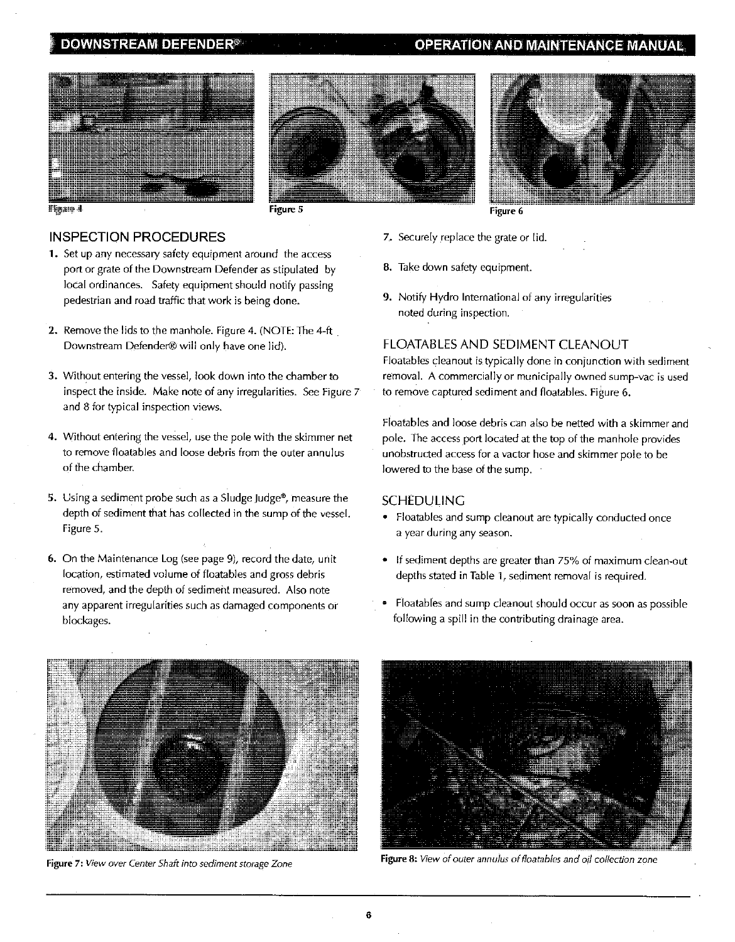#### **DOWNSTREAM DEFENDER® OPERATION AND MAINTENANCE MANUAL**









iligan d

Figure 6

- **INSPECTION PROCEDURES**
- 1. Set up any necessary safety equipment around the access port or grate of the Downstream Defender as stipulated by local ordinances. Safety equipment should notify passing pedestrian and road traffic that work is being done.
- 2. Remove the lids to the manhole. Figure 4. (NOTE: The 4-ft Downstream Defender® will only have one lid).
- 3. Without entering the vessel, look down into the chamber to inspect the inside. Make note of any irregularities. See Figure 7 and 8 for typical inspection views.
- 4. Without entering the vessel, use the pole with the skimmer net to remove floatables and loose debris from the outer annulus of the chamber.
- 5. Using a sediment probe such as a Sludge Judge®, measure the depth of sediment that has collected in the sump of the vessel. Figure 5.
- 6. On the Maintenance Log (see page 9), record the date, unit location, estimated volume of floatables and gross debris removed, and the depth of sediment measured. Also note any apparent irregularities such as damaged components or blockages.
- 7. Securely replace the grate or lid.
- 8. Take down safety equipment.
- 9. Notify Hydro International of any irregularities noted during inspection.

#### FLOATABLES AND SEDIMENT CLEANOUT

Floatables cleanout is typically done in conjunction with sediment removal. A commercially or municipally owned sump-vac is used to remove captured sediment and floatables. Figure 6.

Floatables and loose debris can also be netted with a skimmer and pole. The access port located at the top of the manhole provides unobstructed access for a vactor hose and skimmer pole to be lowered to the base of the sump.

#### **SCHEDULING**

- Floatables and sump cleanout are typically conducted once a year during any season.
- If sediment depths are greater than 75% of maximum clean-out depths stated in Table 1, sediment removal is required.
- · Floatables and sump cleanout should occur as soon as possible following a spill in the contributing drainage area.



Figure 7: View over Center Shaft into sediment storage Zone



Figure 8: View of outer annulus of floatables and oil collection zone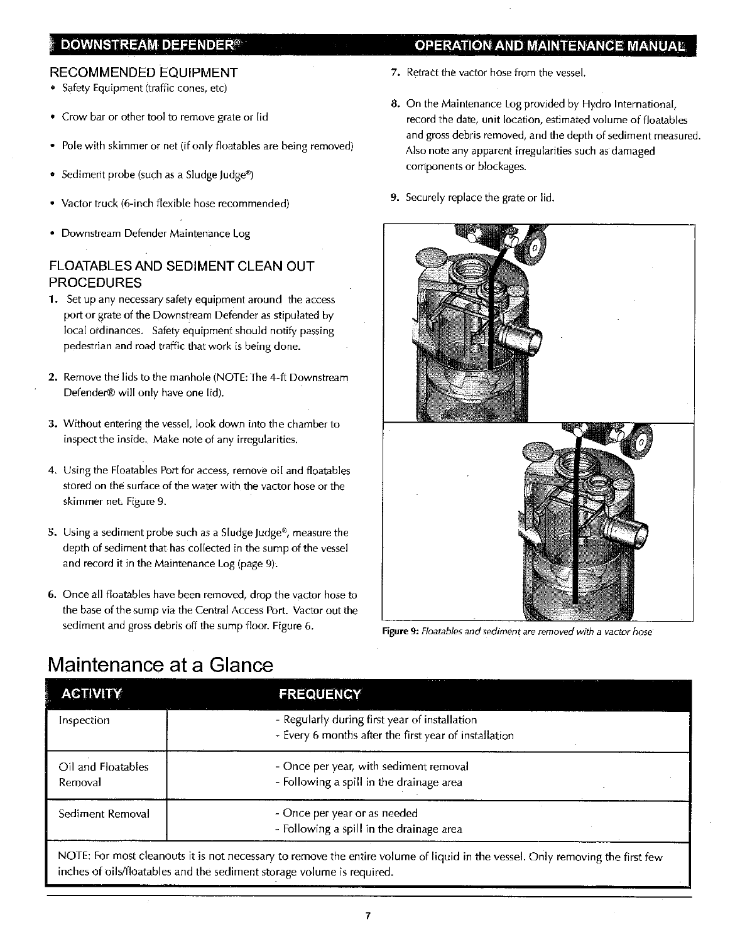### **DOWNSTREAM DEFENDER<sup>®</sup>**

#### **RECOMMENDED EQUIPMENT**

- Safety Equipment (traffic cones, etc)
- Crow bar or other tool to remove grate or lid
- Pole with skimmer or net (if only floatables are being removed)
- Sediment probe (such as a Sludge Judge®)
- Vactor truck (6-inch flexible hose recommended)
- · Downstream Defender Maintenance Log

#### FLOATABLES AND SEDIMENT CLEAN OUT **PROCEDURES**

- 1. Set up any necessary safety equipment around the access port or grate of the Downstream Defender as stipulated by local ordinances. Safety equipment should notify passing pedestrian and road traffic that work is being done.
- 2. Remove the lids to the manhole (NOTE: The 4-ft Downstream Defender® will only have one lid).
- 3. Without entering the vessel, look down into the chamber to inspect the inside. Make note of any irregularities.
- 4. Using the Floatables Port for access, remove oil and floatables stored on the surface of the water with the vactor hose or the skimmer net. Figure 9.
- 5. Using a sediment probe such as a Sludge Judge®, measure the depth of sediment that has collected in the sump of the vessel and record it in the Maintenance Log (page 9).
- 6. Once all floatables have been removed, drop the vactor hose to the base of the sump via the Central Access Port. Vactor out the sediment and gross debris off the sump floor. Figure 6.

#### **OPERATION AND MAINTENANCE MANUAL**

- 7. Retract the vactor hose from the vessel.
- 8. On the Maintenance Log provided by Hydro International, record the date, unit location, estimated volume of floatables and gross debris removed, and the depth of sediment measured. Also note any apparent irregularities such as damaged components or blockages.
- 9. Securely replace the grate or lid.



Figure 9: Floatables and sediment are removed with a vactor hose

### Maintenance at a Glance

| <b>ACTIVITY</b>               | <b>FREQUENCY</b>                                                                                                                                                                                        |
|-------------------------------|---------------------------------------------------------------------------------------------------------------------------------------------------------------------------------------------------------|
| Inspection                    | - Regularly during first year of installation<br>- Every 6 months after the first year of installation                                                                                                  |
| Oil and Floatables<br>Removal | - Once per year, with sediment removal<br>- Following a spill in the drainage area                                                                                                                      |
| Sediment Removal              | - Once per year or as needed<br>- Following a spill in the drainage area                                                                                                                                |
|                               | NOTE: For most cleanouts it is not necessary to remove the entire volume of liquid in the vessel. Only removing the first few<br>inches of oils/floatables and the sediment storage volume is required. |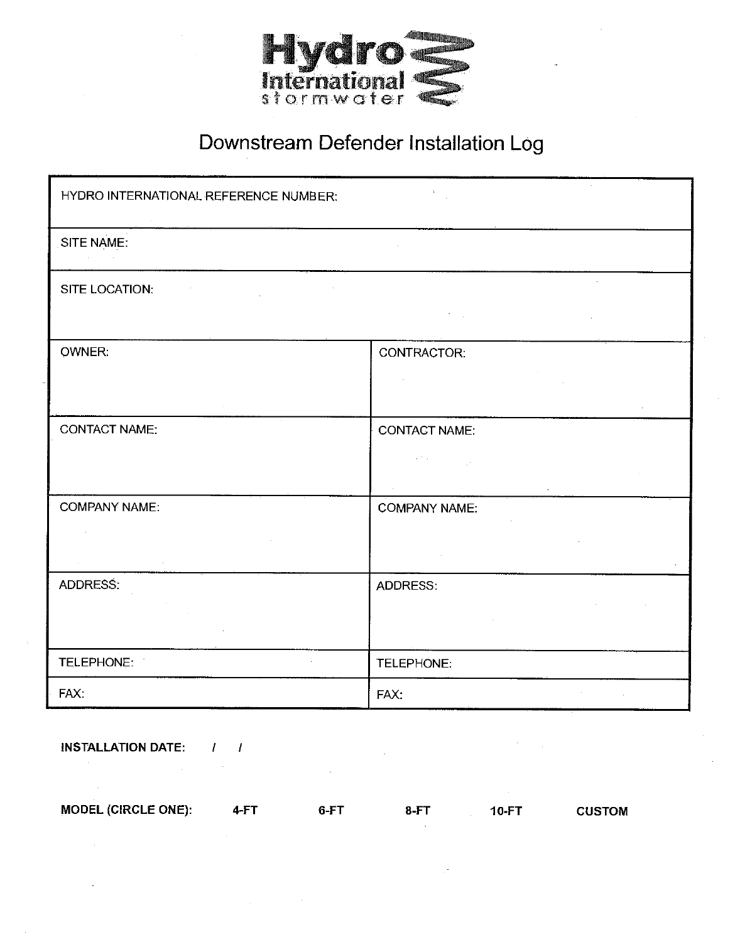

## Downstream Defender Installation Log

| HYDRO INTERNATIONAL REFERENCE NUMBER:                                                                                                                 |                                                                                                                                                                                                                                                                                                                                               |  |  |  |  |
|-------------------------------------------------------------------------------------------------------------------------------------------------------|-----------------------------------------------------------------------------------------------------------------------------------------------------------------------------------------------------------------------------------------------------------------------------------------------------------------------------------------------|--|--|--|--|
| SITE NAME:                                                                                                                                            |                                                                                                                                                                                                                                                                                                                                               |  |  |  |  |
| SITE LOCATION:<br><b>Contractor</b>                                                                                                                   | $\label{eq:2.1} \mathcal{L}(\mathcal{L}^{\mathcal{L}}_{\mathcal{L}}(\mathcal{L}^{\mathcal{L}}_{\mathcal{L}}(\mathcal{L}^{\mathcal{L}}_{\mathcal{L}}(\mathcal{L}^{\mathcal{L}}_{\mathcal{L}}(\mathcal{L}^{\mathcal{L}}_{\mathcal{L}}(\mathcal{L}^{\mathcal{L}}_{\mathcal{L}}(\mathcal{L}^{\mathcal{L}}_{\mathcal{L}})))$<br>and the control of |  |  |  |  |
| OWNER:                                                                                                                                                | CONTRACTOR:<br>$\sim 10^{11}$ km s $^{-1}$ .<br>$\sim 100$                                                                                                                                                                                                                                                                                    |  |  |  |  |
| <b>CONTACT NAME:</b>                                                                                                                                  | <b>CONTACT NAME:</b><br>$\label{eq:2.1} \mathcal{F}^{(2)}(t) = \mathcal{F}^{(2)}(t) \mathcal{F}^{(2)}(t)$<br>$\Delta \phi$                                                                                                                                                                                                                    |  |  |  |  |
| <b>COMPANY NAME:</b><br>$\sim$<br>$\mathcal{L}_{\text{max}}$ and $\mathcal{L}_{\text{max}}$ and $\mathcal{L}_{\text{max}}$<br>$\sim 100$ km s $^{-1}$ | <b>COMPANY NAME:</b><br>$\sim 100$                                                                                                                                                                                                                                                                                                            |  |  |  |  |
| ADDRESS.<br>$\sim 100$ km s $^{-1}$<br><b>Contractor</b>                                                                                              | ADDRESS:                                                                                                                                                                                                                                                                                                                                      |  |  |  |  |
| TELEPHONE:                                                                                                                                            | TELEPHONE.                                                                                                                                                                                                                                                                                                                                    |  |  |  |  |
| FAX:                                                                                                                                                  | FAX:<br>$\mathcal{L}^{\mathcal{L}}(\mathcal{L}^{\mathcal{L}})$ and $\mathcal{L}^{\mathcal{L}}(\mathcal{L}^{\mathcal{L}})$ and $\mathcal{L}^{\mathcal{L}}(\mathcal{L}^{\mathcal{L}})$                                                                                                                                                          |  |  |  |  |

**INSTALLATION DATE:**  $\prime$  $\overline{I}$ 

| <b>MODEL (CIRCLE ONE):</b> |  | 6-FT |  | 10-FT | <b>CUSTOM</b> |
|----------------------------|--|------|--|-------|---------------|
|----------------------------|--|------|--|-------|---------------|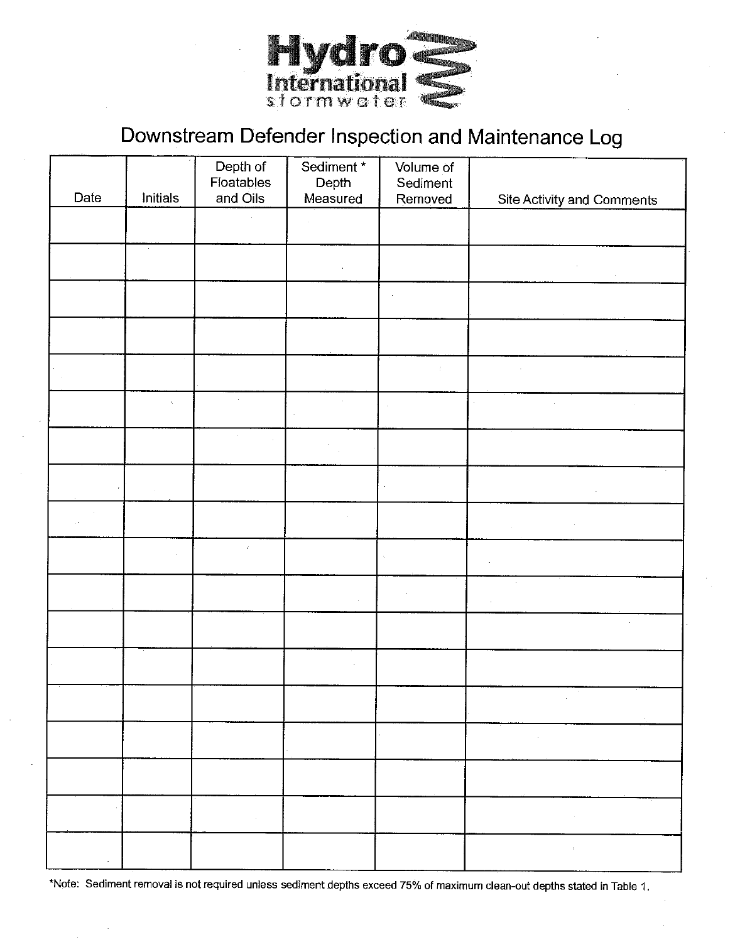

### Downstream Defender Inspection and Maintenance Log

| Date | Initials | Depth of<br>Floatables<br>and Oils | Sediment*<br>Depth<br>Measured | Volume of<br>Sediment<br>Removed | <b>Site Activity and Comments</b>                                                                                           |
|------|----------|------------------------------------|--------------------------------|----------------------------------|-----------------------------------------------------------------------------------------------------------------------------|
|      |          |                                    | $\sim$                         |                                  |                                                                                                                             |
|      | $\cdot$  |                                    |                                |                                  |                                                                                                                             |
|      |          |                                    |                                |                                  |                                                                                                                             |
|      |          |                                    |                                |                                  |                                                                                                                             |
|      |          |                                    |                                | $\vec{z}$                        |                                                                                                                             |
|      | $\chi$   |                                    |                                |                                  | $\sim$                                                                                                                      |
|      |          | ×                                  |                                |                                  |                                                                                                                             |
|      |          |                                    |                                |                                  |                                                                                                                             |
|      |          |                                    |                                |                                  |                                                                                                                             |
|      |          | $\mathcal{C}$                      |                                |                                  |                                                                                                                             |
|      |          |                                    |                                |                                  | $\cdot$                                                                                                                     |
|      |          |                                    |                                |                                  |                                                                                                                             |
|      |          |                                    |                                |                                  |                                                                                                                             |
|      |          |                                    |                                |                                  | $\sim$                                                                                                                      |
|      |          |                                    |                                |                                  | $\mathcal{L}_{\mathcal{A}}$ and $\mathcal{L}_{\mathcal{A}}$ and $\mathcal{L}_{\mathcal{A}}$ and $\mathcal{L}_{\mathcal{A}}$ |
|      |          |                                    |                                |                                  |                                                                                                                             |
|      |          | $\sim 100$                         |                                |                                  | $\sim 10^{11}$                                                                                                              |
|      |          |                                    |                                |                                  | $\mathcal{V}$ .                                                                                                             |

\*Note: Sediment removal is not required unless sediment depths exceed 75% of maximum clean-out depths stated in Table 1.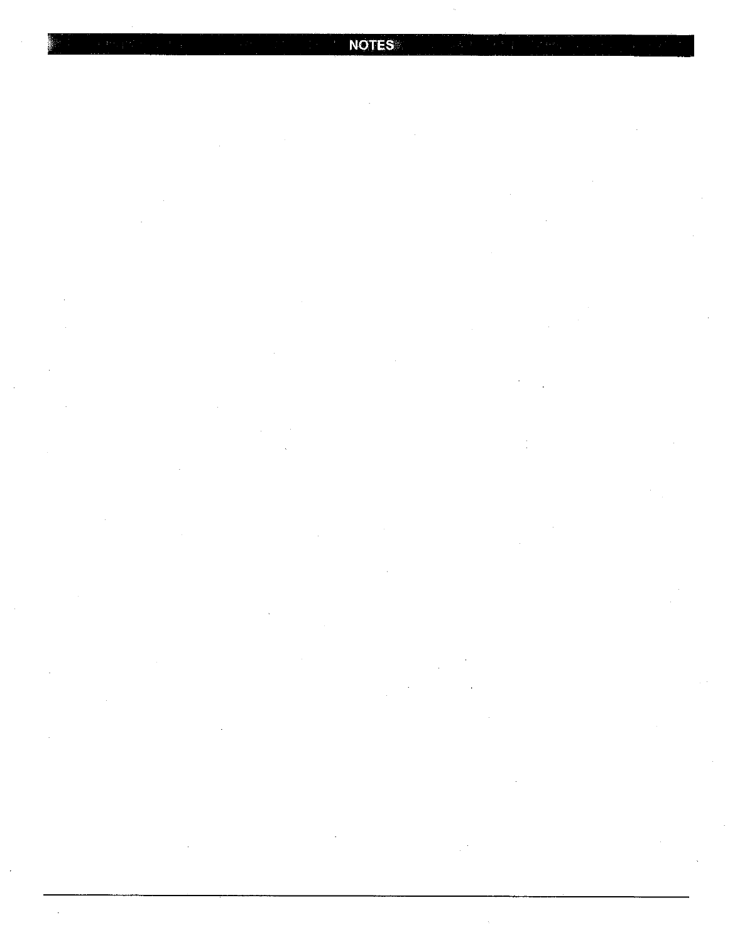**NOTES** 

 $\frac{1}{2}$